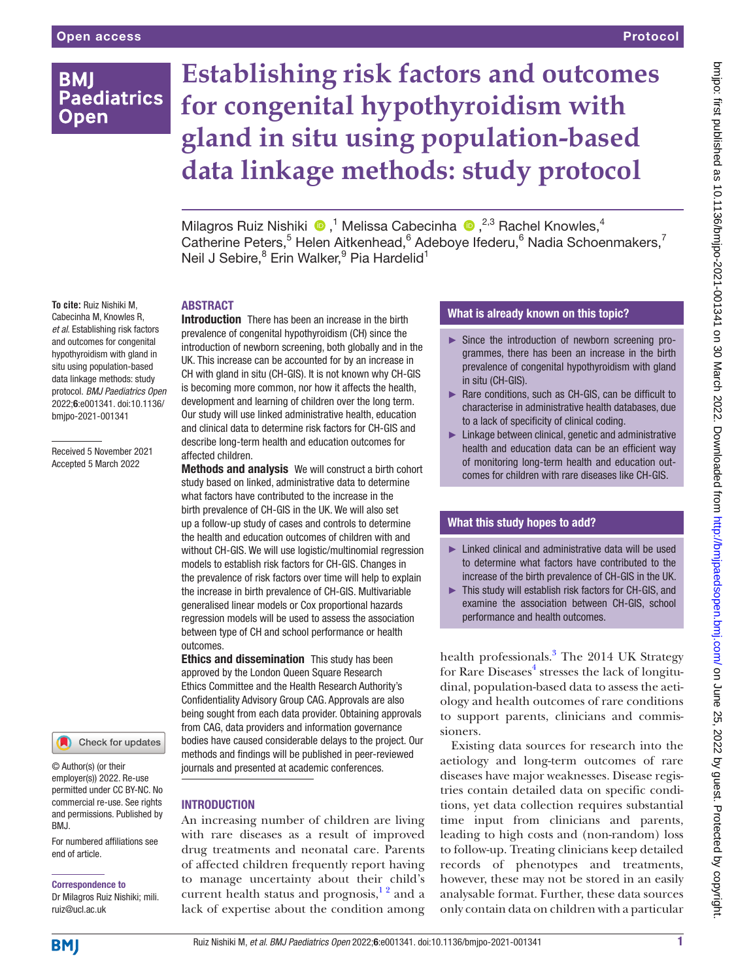# **BMI Paediatrics Open**

# **Establishing risk factors and outcomes for congenital hypothyroidism with gland in situ using population-based data linkage methods: study protocol**

Milagros Ruiz Nishiki <sup>®</sup>,<sup>1</sup> Melissa Cabecinha <sup>®</sup>,<sup>2,3</sup> Rachel Knowles,<sup>4</sup> Catherine Peters,<sup>5</sup> Helen Aitkenhead,<sup>6</sup> Adeboye Ifederu,<sup>6</sup> Nadia Schoenmakers,<sup>7</sup> Neil J Sebire,<sup>8</sup> Erin Walker,<sup>9</sup> Pia Hardelid<sup>1</sup>

# ABSTRACT

**To cite:** Ruiz Nishiki M, Cabecinha M, Knowles R, *et al*. Establishing risk factors and outcomes for congenital hypothyroidism with gland in situ using population-based data linkage methods: study protocol. *BMJ Paediatrics Open* 2022;6:e001341. doi:10.1136/ bmjpo-2021-001341

Received 5 November 2021 Accepted 5 March 2022



© Author(s) (or their employer(s)) 2022. Re-use permitted under CC BY-NC. No commercial re-use. See rights and permissions. Published by BMJ.

For numbered affiliations see end of article.

#### Correspondence to

Dr Milagros Ruiz Nishiki; mili. ruiz@ucl.ac.uk

Introduction There has been an increase in the birth prevalence of congenital hypothyroidism (CH) since the introduction of newborn screening, both globally and in the UK. This increase can be accounted for by an increase in CH with gland in situ (CH-GIS). It is not known why CH-GIS is becoming more common, nor how it affects the health, development and learning of children over the long term. Our study will use linked administrative health, education and clinical data to determine risk factors for CH-GIS and describe long-term health and education outcomes for affected children.

**Methods and analysis** We will construct a birth cohort study based on linked, administrative data to determine what factors have contributed to the increase in the birth prevalence of CH-GIS in the UK. We will also set up a follow-up study of cases and controls to determine the health and education outcomes of children with and without CH-GIS. We will use logistic/multinomial regression models to establish risk factors for CH-GIS. Changes in the prevalence of risk factors over time will help to explain the increase in birth prevalence of CH-GIS. Multivariable generalised linear models or Cox proportional hazards regression models will be used to assess the association between type of CH and school performance or health outcomes.

**Ethics and dissemination** This study has been approved by the London Queen Square Research Ethics Committee and the Health Research Authority's Confidentiality Advisory Group CAG. Approvals are also being sought from each data provider. Obtaining approvals from CAG, data providers and information governance bodies have caused considerable delays to the project. Our methods and findings will be published in peer-reviewed journals and presented at academic conferences.

#### **INTRODUCTION**

An increasing number of children are living with rare diseases as a result of improved drug treatments and neonatal care. Parents of affected children frequently report having to manage uncertainty about their child's current health status and prognosis,  $1^2$  and a lack of expertise about the condition among

# What is already known on this topic?

- ► Since the introduction of newborn screening programmes, there has been an increase in the birth prevalence of congenital hypothyroidism with gland in situ (CH-GIS).
- ► Rare conditions, such as CH-GIS, can be difficult to characterise in administrative health databases, due to a lack of specificity of clinical coding.
- ► Linkage between clinical, genetic and administrative health and education data can be an efficient way of monitoring long-term health and education outcomes for children with rare diseases like CH-GIS.

#### What this study hopes to add?

- $\blacktriangleright$  Linked clinical and administrative data will be used to determine what factors have contributed to the increase of the birth prevalence of CH-GIS in the UK.
- ► This study will establish risk factors for CH-GIS, and examine the association between CH-GIS, school performance and health outcomes.

health professionals.<sup>[3](#page-7-1)</sup> The 2014 UK Strategy for Rare Diseases<sup>[4](#page-7-2)</sup> stresses the lack of longitudinal, population-based data to assess the aetiology and health outcomes of rare conditions to support parents, clinicians and commissioners.

Existing data sources for research into the aetiology and long-term outcomes of rare diseases have major weaknesses. Disease registries contain detailed data on specific conditions, yet data collection requires substantial time input from clinicians and parents, leading to high costs and (non-random) loss to follow-up. Treating clinicians keep detailed records of phenotypes and treatments, however, these may not be stored in an easily analysable format. Further, these data sources only contain data on children with a particular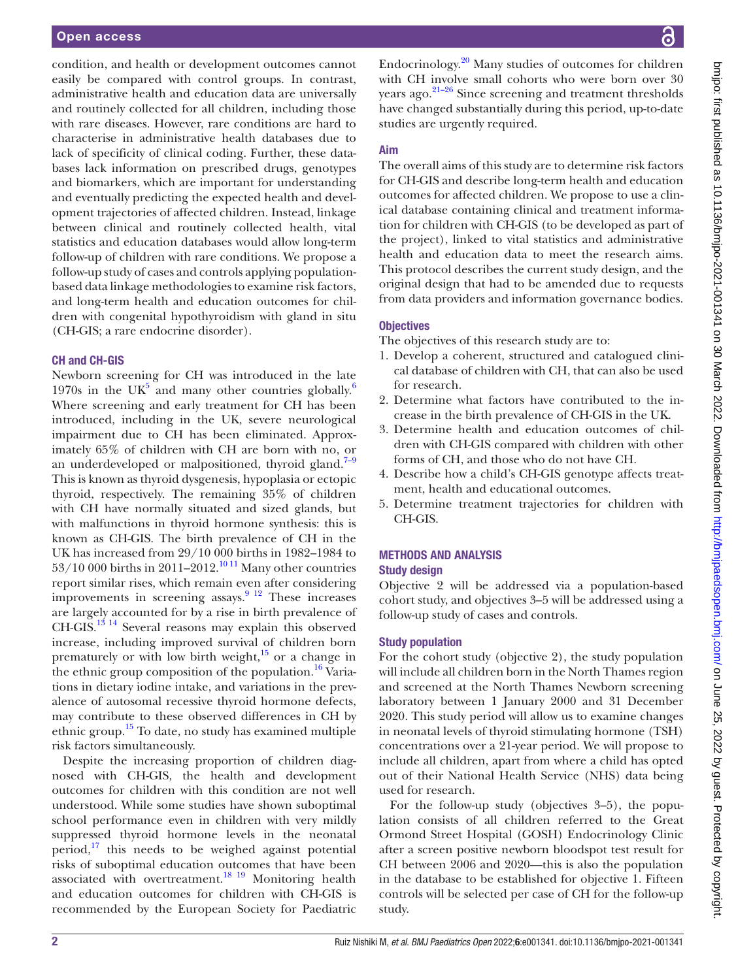condition, and health or development outcomes cannot easily be compared with control groups. In contrast, administrative health and education data are universally and routinely collected for all children, including those with rare diseases. However, rare conditions are hard to characterise in administrative health databases due to lack of specificity of clinical coding. Further, these databases lack information on prescribed drugs, genotypes and biomarkers, which are important for understanding and eventually predicting the expected health and development trajectories of affected children. Instead, linkage between clinical and routinely collected health, vital statistics and education databases would allow long-term follow-up of children with rare conditions. We propose a follow-up study of cases and controls applying populationbased data linkage methodologies to examine risk factors, and long-term health and education outcomes for children with congenital hypothyroidism with gland in situ (CH-GIS; a rare endocrine disorder).

#### CH and CH-GIS

Newborn screening for CH was introduced in the late 1970s in the UK<sup>[5](#page-7-3)</sup> and many other countries globally.<sup>[6](#page-7-4)</sup> Where screening and early treatment for CH has been introduced, including in the UK, severe neurological impairment due to CH has been eliminated. Approximately 65% of children with CH are born with no, or an underdeveloped or malpositioned, thyroid gland. $7-9$ This is known as thyroid dysgenesis, hypoplasia or ectopic thyroid, respectively. The remaining 35% of children with CH have normally situated and sized glands, but with malfunctions in thyroid hormone synthesis: this is known as CH-GIS. The birth prevalence of CH in the UK has increased from 29/10 000 births in 1982–1984 to 53/10 000 births in 2011–2012.<sup>10 11</sup> Many other countries report similar rises, which remain even after considering improvements in screening assays.<sup>9 12</sup> These increases are largely accounted for by a rise in birth prevalence of CH-GIS.[13 14](#page-7-8) Several reasons may explain this observed increase, including improved survival of children born prematurely or with low birth weight, $15$  or a change in the ethnic group composition of the population.<sup>[16](#page-7-10)</sup> Variations in dietary iodine intake, and variations in the prevalence of autosomal recessive thyroid hormone defects, may contribute to these observed differences in CH by ethnic group[.15](#page-7-9) To date, no study has examined multiple risk factors simultaneously.

Despite the increasing proportion of children diagnosed with CH-GIS, the health and development outcomes for children with this condition are not well understood. While some studies have shown suboptimal school performance even in children with very mildly suppressed thyroid hormone levels in the neonatal period, $17$  this needs to be weighed against potential risks of suboptimal education outcomes that have been associated with overtreatment.<sup>18</sup> 19 Monitoring health and education outcomes for children with CH-GIS is recommended by the European Society for Paediatric

Endocrinology. [20](#page-8-1) Many studies of outcomes for children with CH involve small cohorts who were born over 30 years ago.[21–26](#page-8-2) Since screening and treatment thresholds have changed substantially during this period, up-to-date studies are urgently required.

#### Aim

The overall aims of this study are to determine risk factors for CH-GIS and describe long-term health and education outcomes for affected children. We propose to use a clinical database containing clinical and treatment information for children with CH-GIS (to be developed as part of the project), linked to vital statistics and administrative health and education data to meet the research aims. This protocol describes the current study design, and the original design that had to be amended due to requests from data providers and information governance bodies.

#### **Objectives**

The objectives of this research study are to:

- 1. Develop a coherent, structured and catalogued clinical database of children with CH, that can also be used for research.
- 2. Determine what factors have contributed to the increase in the birth prevalence of CH-GIS in the UK.
- 3. Determine health and education outcomes of children with CH-GIS compared with children with other forms of CH, and those who do not have CH.
- 4. Describe how a child's CH-GIS genotype affects treatment, health and educational outcomes.
- 5. Determine treatment trajectories for children with CH-GIS.

# METHODS AND ANALYSIS

# Study design

Objective 2 will be addressed via a population-based cohort study, and objectives 3–5 will be addressed using a follow-up study of cases and controls.

#### Study population

For the cohort study (objective 2), the study population will include all children born in the North Thames region and screened at the North Thames Newborn screening laboratory between 1 January 2000 and 31 December 2020. This study period will allow us to examine changes in neonatal levels of thyroid stimulating hormone (TSH) concentrations over a 21-year period. We will propose to include all children, apart from where a child has opted out of their National Health Service (NHS) data being used for research.

For the follow-up study (objectives 3–5), the population consists of all children referred to the Great Ormond Street Hospital (GOSH) Endocrinology Clinic after a screen positive newborn bloodspot test result for CH between 2006 and 2020—this is also the population in the database to be established for objective 1. Fifteen controls will be selected per case of CH for the follow-up study.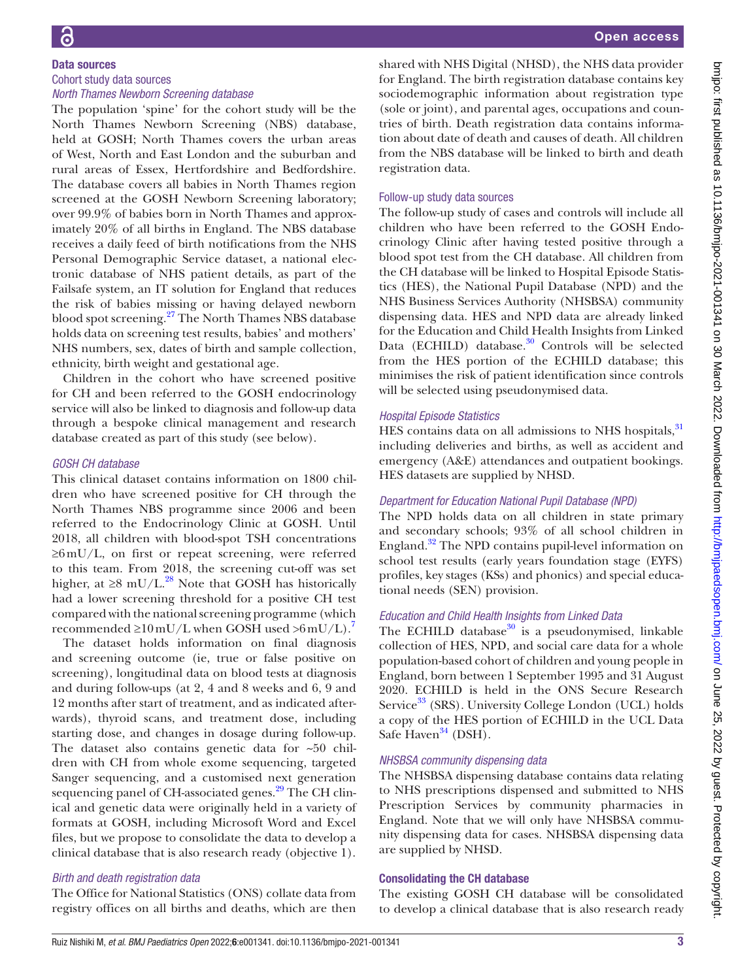#### Data sources Cohort study data sources *North Thames Newborn Screening database*

The population 'spine' for the cohort study will be the North Thames Newborn Screening (NBS) database, held at GOSH; North Thames covers the urban areas of West, North and East London and the suburban and rural areas of Essex, Hertfordshire and Bedfordshire. The database covers all babies in North Thames region screened at the GOSH Newborn Screening laboratory; over 99.9% of babies born in North Thames and approximately 20% of all births in England. The NBS database receives a daily feed of birth notifications from the NHS Personal Demographic Service dataset, a national electronic database of NHS patient details, as part of the Failsafe system, an IT solution for England that reduces the risk of babies missing or having delayed newborn blood spot screening.<sup>27</sup> The North Thames NBS database holds data on screening test results, babies' and mothers' NHS numbers, sex, dates of birth and sample collection, ethnicity, birth weight and gestational age.

Children in the cohort who have screened positive for CH and been referred to the GOSH endocrinology service will also be linked to diagnosis and follow-up data through a bespoke clinical management and research database created as part of this study (see below).

#### *GOSH CH database*

This clinical dataset contains information on 1800 children who have screened positive for CH through the North Thames NBS programme since 2006 and been referred to the Endocrinology Clinic at GOSH. Until 2018, all children with blood-spot TSH concentrations ≥6mU/L, on first or repeat screening, were referred to this team. From 2018, the screening cut-off was set higher, at  $\geq 8$  mU/L.<sup>28</sup> Note that GOSH has historically had a lower screening threshold for a positive CH test compared with the national screening programme (which recommended  $\geq 10$  mU/L when GOSH used  $>6$  mU/L).<sup>7</sup>

The dataset holds information on final diagnosis and screening outcome (ie, true or false positive on screening), longitudinal data on blood tests at diagnosis and during follow-ups (at 2, 4 and 8 weeks and 6, 9 and 12 months after start of treatment, and as indicated afterwards), thyroid scans, and treatment dose, including starting dose, and changes in dosage during follow-up. The dataset also contains genetic data for ~50 children with CH from whole exome sequencing, targeted Sanger sequencing, and a customised next generation sequencing panel of CH-associated genes.<sup>29</sup> The CH clinical and genetic data were originally held in a variety of formats at GOSH, including Microsoft Word and Excel files, but we propose to consolidate the data to develop a clinical database that is also research ready (objective 1).

# *Birth and death registration data*

The Office for National Statistics (ONS) collate data from registry offices on all births and deaths, which are then

shared with NHS Digital (NHSD), the NHS data provider for England. The birth registration database contains key sociodemographic information about registration type (sole or joint), and parental ages, occupations and countries of birth. Death registration data contains information about date of death and causes of death. All children from the NBS database will be linked to birth and death registration data.

#### Follow-up study data sources

The follow-up study of cases and controls will include all children who have been referred to the GOSH Endocrinology Clinic after having tested positive through a blood spot test from the CH database. All children from the CH database will be linked to Hospital Episode Statistics (HES), the National Pupil Database (NPD) and the NHS Business Services Authority (NHSBSA) community dispensing data. HES and NPD data are already linked for the Education and Child Health Insights from Linked Data (ECHILD) database.<sup>30</sup> Controls will be selected from the HES portion of the ECHILD database; this minimises the risk of patient identification since controls will be selected using pseudonymised data.

## *Hospital Episode Statistics*

HES contains data on all admissions to NHS hospitals, <sup>[31](#page-8-7)</sup> including deliveries and births, as well as accident and emergency (A&E) attendances and outpatient bookings. HES datasets are supplied by NHSD.

# *Department for Education National Pupil Database (NPD)*

The NPD holds data on all children in state primary and secondary schools; 93% of all school children in England.<sup>[32](#page-8-8)</sup> The NPD contains pupil-level information on school test results (early years foundation stage (EYFS) profiles, key stages (KSs) and phonics) and special educational needs (SEN) provision.

# *Education and Child Health Insights from Linked Data*

The ECHILD database $30$  is a pseudonymised, linkable collection of HES, NPD, and social care data for a whole population-based cohort of children and young people in England, born between 1 September 1995 and 31 August 2020. ECHILD is held in the ONS Secure Research Service<sup>33</sup> (SRS). University College London (UCL) holds a copy of the HES portion of ECHILD in the UCL Data Safe Haven $34$  (DSH).

# *NHSBSA community dispensing data*

The NHSBSA dispensing database contains data relating to NHS prescriptions dispensed and submitted to NHS Prescription Services by community pharmacies in England. Note that we will only have NHSBSA community dispensing data for cases. NHSBSA dispensing data are supplied by NHSD.

# Consolidating the CH database

The existing GOSH CH database will be consolidated to develop a clinical database that is also research ready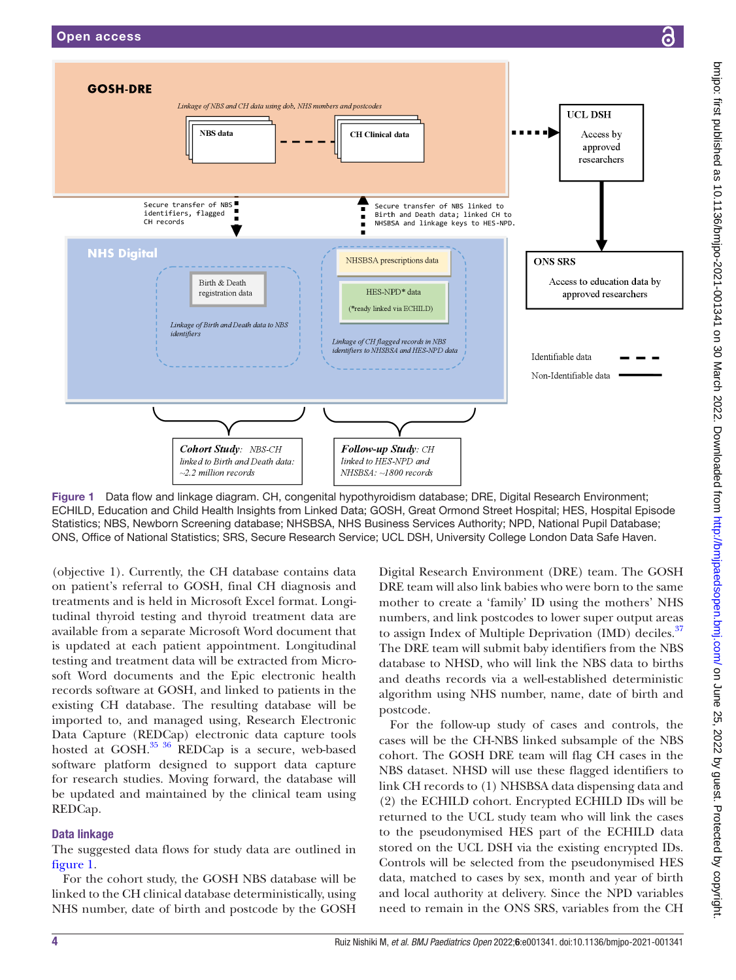

<span id="page-3-0"></span>Figure 1 Data flow and linkage diagram. CH, congenital hypothyroidism database; DRE, Digital Research Environment; ECHILD, Education and Child Health Insights from Linked Data; GOSH, Great Ormond Street Hospital; HES, Hospital Episode Statistics; NBS, Newborn Screening database; NHSBSA, NHS Business Services Authority; NPD, National Pupil Database; ONS, Office of National Statistics; SRS, Secure Research Service; UCL DSH, University College London Data Safe Haven.

(objective 1). Currently, the CH database contains data on patient's referral to GOSH, final CH diagnosis and treatments and is held in Microsoft Excel format. Longitudinal thyroid testing and thyroid treatment data are available from a separate Microsoft Word document that is updated at each patient appointment. Longitudinal testing and treatment data will be extracted from Microsoft Word documents and the Epic electronic health records software at GOSH, and linked to patients in the existing CH database. The resulting database will be imported to, and managed using, Research Electronic Data Capture (REDCap) electronic data capture tools hosted at GOSH. $^{35}$   $^{36}$  REDCap is a secure, web-based software platform designed to support data capture for research studies. Moving forward, the database will be updated and maintained by the clinical team using REDCap.

#### Data linkage

The suggested data flows for study data are outlined in [figure](#page-3-0) 1.

For the cohort study, the GOSH NBS database will be linked to the CH clinical database deterministically, using NHS number, date of birth and postcode by the GOSH

Digital Research Environment (DRE) team. The GOSH DRE team will also link babies who were born to the same mother to create a 'family' ID using the mothers' NHS numbers, and link postcodes to lower super output areas to assign Index of Multiple Deprivation (IMD) deciles.<sup>37</sup> The DRE team will submit baby identifiers from the NBS database to NHSD, who will link the NBS data to births and deaths records via a well-established deterministic algorithm using NHS number, name, date of birth and postcode.

For the follow-up study of cases and controls, the cases will be the CH-NBS linked subsample of the NBS cohort. The GOSH DRE team will flag CH cases in the NBS dataset. NHSD will use these flagged identifiers to link CH records to (1) NHSBSA data dispensing data and (2) the ECHILD cohort. Encrypted ECHILD IDs will be returned to the UCL study team who will link the cases to the pseudonymised HES part of the ECHILD data stored on the UCL DSH via the existing encrypted IDs. Controls will be selected from the pseudonymised HES data, matched to cases by sex, month and year of birth and local authority at delivery. Since the NPD variables need to remain in the ONS SRS, variables from the CH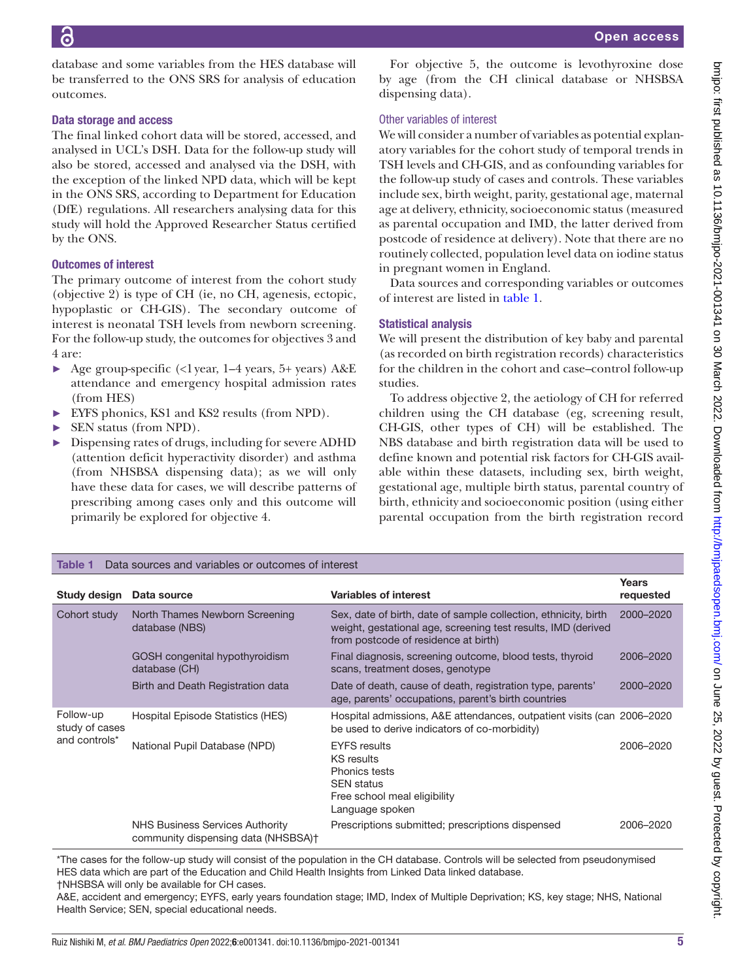database and some variables from the HES database will be transferred to the ONS SRS for analysis of education outcomes.

## Data storage and access

The final linked cohort data will be stored, accessed, and analysed in UCL's DSH. Data for the follow-up study will also be stored, accessed and analysed via the DSH, with the exception of the linked NPD data, which will be kept in the ONS SRS, according to Department for Education (DfE) regulations. All researchers analysing data for this study will hold the Approved Researcher Status certified by the ONS.

# Outcomes of interest

The primary outcome of interest from the cohort study (objective 2) is type of CH (ie, no CH, agenesis, ectopic, hypoplastic or CH-GIS). The secondary outcome of interest is neonatal TSH levels from newborn screening. For the follow-up study, the outcomes for objectives 3 and 4 are:

- ► Age group-specific (<1year, 1–4 years, 5+ years) A&E attendance and emergency hospital admission rates (from HES)
- ► EYFS phonics, KS1 and KS2 results (from NPD).
- ► SEN status (from NPD).
- ► Dispensing rates of drugs, including for severe ADHD (attention deficit hyperactivity disorder) and asthma (from NHSBSA dispensing data); as we will only have these data for cases, we will describe patterns of prescribing among cases only and this outcome will primarily be explored for objective 4.

For objective 5, the outcome is levothyroxine dose by age (from the CH clinical database or NHSBSA dispensing data).

# Other variables of interest

We will consider a number of variables as potential explanatory variables for the cohort study of temporal trends in TSH levels and CH-GIS, and as confounding variables for the follow-up study of cases and controls. These variables include sex, birth weight, parity, gestational age, maternal age at delivery, ethnicity, socioeconomic status (measured as parental occupation and IMD, the latter derived from postcode of residence at delivery). Note that there are no routinely collected, population level data on iodine status in pregnant women in England.

Data sources and corresponding variables or outcomes of interest are listed in [table](#page-4-0) 1.

# Statistical analysis

We will present the distribution of key baby and parental (as recorded on birth registration records) characteristics for the children in the cohort and case–control follow-up studies.

To address objective 2, the aetiology of CH for referred children using the CH database (eg, screening result, CH-GIS, other types of CH) will be established. The NBS database and birth registration data will be used to define known and potential risk factors for CH-GIS available within these datasets, including sex, birth weight, gestational age, multiple birth status, parental country of birth, ethnicity and socioeconomic position (using either parental occupation from the birth registration record

<span id="page-4-0"></span>

| Data sources and variables or outcomes of interest<br>Table 1 |                                                                        |                                                                                                                                                                          |                    |
|---------------------------------------------------------------|------------------------------------------------------------------------|--------------------------------------------------------------------------------------------------------------------------------------------------------------------------|--------------------|
| Study design                                                  | Data source                                                            | <b>Variables of interest</b>                                                                                                                                             | Years<br>requested |
| Cohort study                                                  | North Thames Newborn Screening<br>database (NBS)                       | Sex, date of birth, date of sample collection, ethnicity, birth<br>weight, gestational age, screening test results, IMD (derived<br>from postcode of residence at birth) | 2000-2020          |
|                                                               | GOSH congenital hypothyroidism<br>database (CH)                        | Final diagnosis, screening outcome, blood tests, thyroid<br>scans, treatment doses, genotype                                                                             | 2006-2020          |
|                                                               | Birth and Death Registration data                                      | Date of death, cause of death, registration type, parents'<br>age, parents' occupations, parent's birth countries                                                        | 2000-2020          |
| Follow-up<br>study of cases<br>and controls*                  | Hospital Episode Statistics (HES)                                      | Hospital admissions, A&E attendances, outpatient visits (can 2006–2020<br>be used to derive indicators of co-morbidity)                                                  |                    |
|                                                               | National Pupil Database (NPD)                                          | <b>EYFS</b> results<br><b>KS</b> results<br>Phonics tests<br><b>SEN</b> status<br>Free school meal eligibility<br>Language spoken                                        | 2006-2020          |
|                                                               | NHS Business Services Authority<br>community dispensing data (NHSBSA)+ | Prescriptions submitted; prescriptions dispensed                                                                                                                         | 2006-2020          |

\*The cases for the follow-up study will consist of the population in the CH database. Controls will be selected from pseudonymised HES data which are part of the Education and Child Health Insights from Linked Data linked database. †NHSBSA will only be available for CH cases.

A&E, accident and emergency; EYFS, early years foundation stage; IMD, Index of Multiple Deprivation; KS, key stage; NHS, National Health Service; SEN, special educational needs.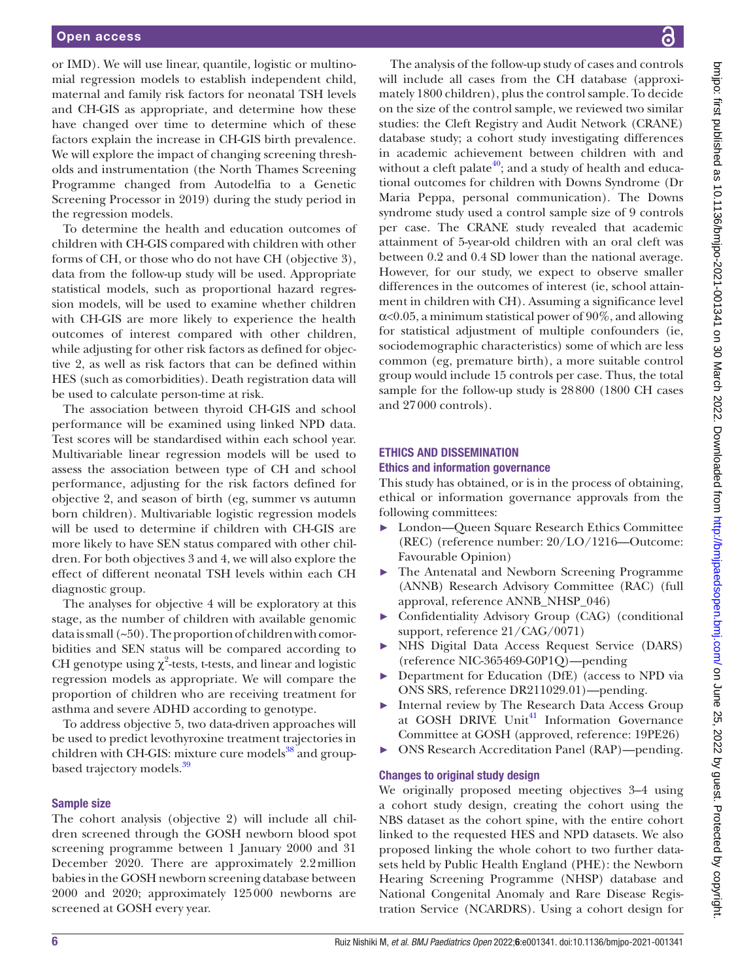or IMD). We will use linear, quantile, logistic or multinomial regression models to establish independent child, maternal and family risk factors for neonatal TSH levels and CH-GIS as appropriate, and determine how these have changed over time to determine which of these factors explain the increase in CH-GIS birth prevalence. We will explore the impact of changing screening thresholds and instrumentation (the North Thames Screening Programme changed from Autodelfia to a Genetic Screening Processor in 2019) during the study period in the regression models.

To determine the health and education outcomes of children with CH-GIS compared with children with other forms of CH, or those who do not have CH (objective 3), data from the follow-up study will be used. Appropriate statistical models, such as proportional hazard regression models, will be used to examine whether children with CH-GIS are more likely to experience the health outcomes of interest compared with other children, while adjusting for other risk factors as defined for objective 2, as well as risk factors that can be defined within HES (such as comorbidities). Death registration data will be used to calculate person-time at risk.

The association between thyroid CH-GIS and school performance will be examined using linked NPD data. Test scores will be standardised within each school year. Multivariable linear regression models will be used to assess the association between type of CH and school performance, adjusting for the risk factors defined for objective 2, and season of birth (eg, summer vs autumn born children). Multivariable logistic regression models will be used to determine if children with CH-GIS are more likely to have SEN status compared with other children. For both objectives 3 and 4, we will also explore the effect of different neonatal TSH levels within each CH diagnostic group.

The analyses for objective 4 will be exploratory at this stage, as the number of children with available genomic data is small (~50). The proportion of children with comorbidities and SEN status will be compared according to CH genotype using  $\chi^2$ -tests, t-tests, and linear and logistic regression models as appropriate. We will compare the proportion of children who are receiving treatment for asthma and severe ADHD according to genotype.

To address objective 5, two data-driven approaches will be used to predict levothyroxine treatment trajectories in children with CH-GIS: mixture cure models $38$  and groupbased trajectory models.<sup>39</sup>

#### Sample size

The cohort analysis (objective 2) will include all children screened through the GOSH newborn blood spot screening programme between 1 January 2000 and 31 December 2020. There are approximately 2.2million babies in the GOSH newborn screening database between 2000 and 2020; approximately 125000 newborns are screened at GOSH every year.

The analysis of the follow-up study of cases and controls will include all cases from the CH database (approximately 1800 children), plus the control sample. To decide on the size of the control sample, we reviewed two similar studies: the Cleft Registry and Audit Network (CRANE) database study; a cohort study investigating differences in academic achievement between children with and without a cleft palate<sup>40</sup>; and a study of health and educational outcomes for children with Downs Syndrome (Dr Maria Peppa, personal communication). The Downs syndrome study used a control sample size of 9 controls per case. The CRANE study revealed that academic attainment of 5-year-old children with an oral cleft was between 0.2 and 0.4 SD lower than the national average. However, for our study, we expect to observe smaller differences in the outcomes of interest (ie, school attainment in children with CH). Assuming a significance level  $\alpha$ <0.05, a minimum statistical power of 90%, and allowing for statistical adjustment of multiple confounders (ie, sociodemographic characteristics) some of which are less common (eg, premature birth), a more suitable control group would include 15 controls per case. Thus, the total sample for the follow-up study is 28800 (1800 CH cases and 27000 controls).

#### ETHICS AND DISSEMINATION Ethics and information governance

This study has obtained, or is in the process of obtaining, ethical or information governance approvals from the following committees:

- ► London—Queen Square Research Ethics Committee (REC) (reference number: 20/LO/1216—Outcome: Favourable Opinion)
- ► The Antenatal and Newborn Screening Programme (ANNB) Research Advisory Committee (RAC) (full approval, reference ANNB\_NHSP\_046)
- ► Confidentiality Advisory Group (CAG) (conditional support, reference 21/CAG/0071)
- ► NHS Digital Data Access Request Service (DARS) (reference NIC-365469-G0P1Q)—pending
- ► Department for Education (DfE) (access to NPD via ONS SRS, reference DR211029.01)—pending.
- ► Internal review by The Research Data Access Group at GOSH DRIVE Unit<sup>41</sup> Information Governance Committee at GOSH (approved, reference: 19PE26)
- ► ONS Research Accreditation Panel (RAP)—pending.

#### Changes to original study design

We originally proposed meeting objectives 3–4 using a cohort study design, creating the cohort using the NBS dataset as the cohort spine, with the entire cohort linked to the requested HES and NPD datasets. We also proposed linking the whole cohort to two further datasets held by Public Health England (PHE): the Newborn Hearing Screening Programme (NHSP) database and National Congenital Anomaly and Rare Disease Registration Service (NCARDRS). Using a cohort design for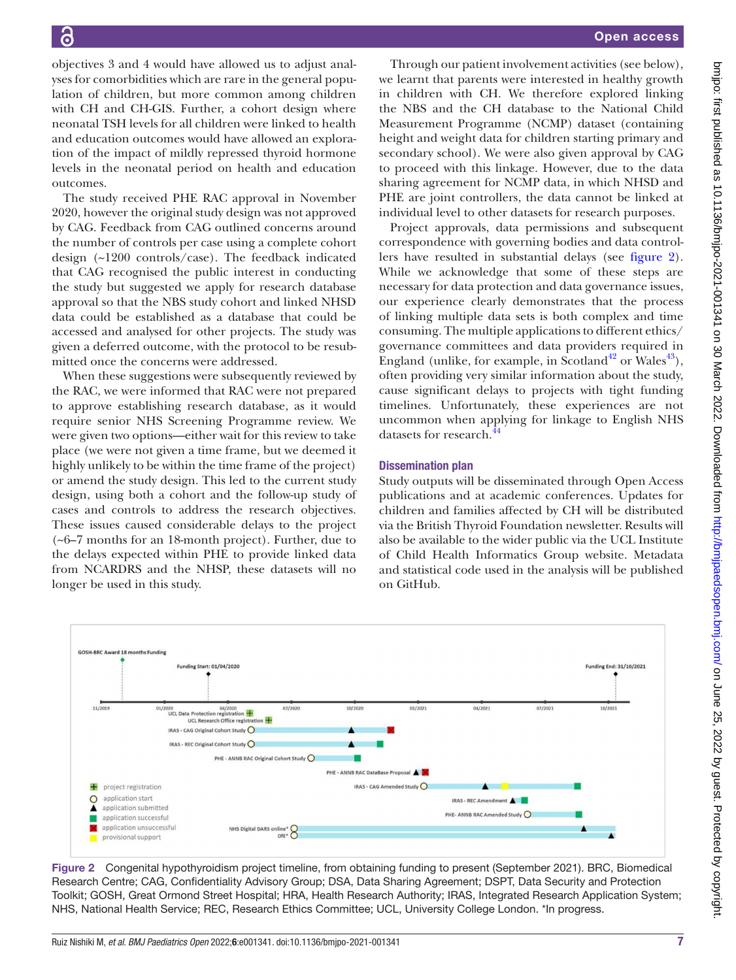objectives 3 and 4 would have allowed us to adjust analyses for comorbidities which are rare in the general population of children, but more common among children with CH and CH-GIS. Further, a cohort design where neonatal TSH levels for all children were linked to health and education outcomes would have allowed an exploration of the impact of mildly repressed thyroid hormone levels in the neonatal period on health and education outcomes.

The study received PHE RAC approval in November 2020, however the original study design was not approved by CAG. Feedback from CAG outlined concerns around the number of controls per case using a complete cohort design (~1200 controls/case). The feedback indicated that CAG recognised the public interest in conducting the study but suggested we apply for research database approval so that the NBS study cohort and linked NHSD data could be established as a database that could be accessed and analysed for other projects. The study was given a deferred outcome, with the protocol to be resubmitted once the concerns were addressed.

When these suggestions were subsequently reviewed by the RAC, we were informed that RAC were not prepared to approve establishing research database, as it would require senior NHS Screening Programme review. We were given two options—either wait for this review to take place (we were not given a time frame, but we deemed it highly unlikely to be within the time frame of the project) or amend the study design. This led to the current study design, using both a cohort and the follow-up study of cases and controls to address the research objectives. These issues caused considerable delays to the project (~6–7 months for an 18-month project). Further, due to the delays expected within PHE to provide linked data from NCARDRS and the NHSP, these datasets will no longer be used in this study.

Through our patient involvement activities (see below), we learnt that parents were interested in healthy growth in children with CH. We therefore explored linking the NBS and the CH database to the National Child Measurement Programme (NCMP) dataset (containing height and weight data for children starting primary and secondary school). We were also given approval by CAG to proceed with this linkage. However, due to the data sharing agreement for NCMP data, in which NHSD and PHE are joint controllers, the data cannot be linked at individual level to other datasets for research purposes.

Project approvals, data permissions and subsequent correspondence with governing bodies and data controllers have resulted in substantial delays (see [figure](#page-6-0) 2). While we acknowledge that some of these steps are necessary for data protection and data governance issues, our experience clearly demonstrates that the process of linking multiple data sets is both complex and time consuming. The multiple applications to different ethics/ governance committees and data providers required in England (unlike, for example, in Scotland<sup>[42](#page-8-17)</sup> or Wales<sup>43</sup>), often providing very similar information about the study, cause significant delays to projects with tight funding timelines. Unfortunately, these experiences are not uncommon when applying for linkage to English NHS datasets for research.<sup>[44](#page-8-19)</sup>

#### Dissemination plan

Study outputs will be disseminated through Open Access publications and at academic conferences. Updates for children and families affected by CH will be distributed via the British Thyroid Foundation newsletter. Results will also be available to the wider public via the UCL Institute of Child Health Informatics Group website. Metadata and statistical code used in the analysis will be published on GitHub.



<span id="page-6-0"></span>Figure 2 Congenital hypothyroidism project timeline, from obtaining funding to present (September 2021). BRC, Biomedical Research Centre; CAG, Confidentiality Advisory Group; DSA, Data Sharing Agreement; DSPT, Data Security and Protection Toolkit; GOSH, Great Ormond Street Hospital; HRA, Health Research Authority; IRAS, Integrated Research Application System; NHS, National Health Service; REC, Research Ethics Committee; UCL, University College London. \*In progress.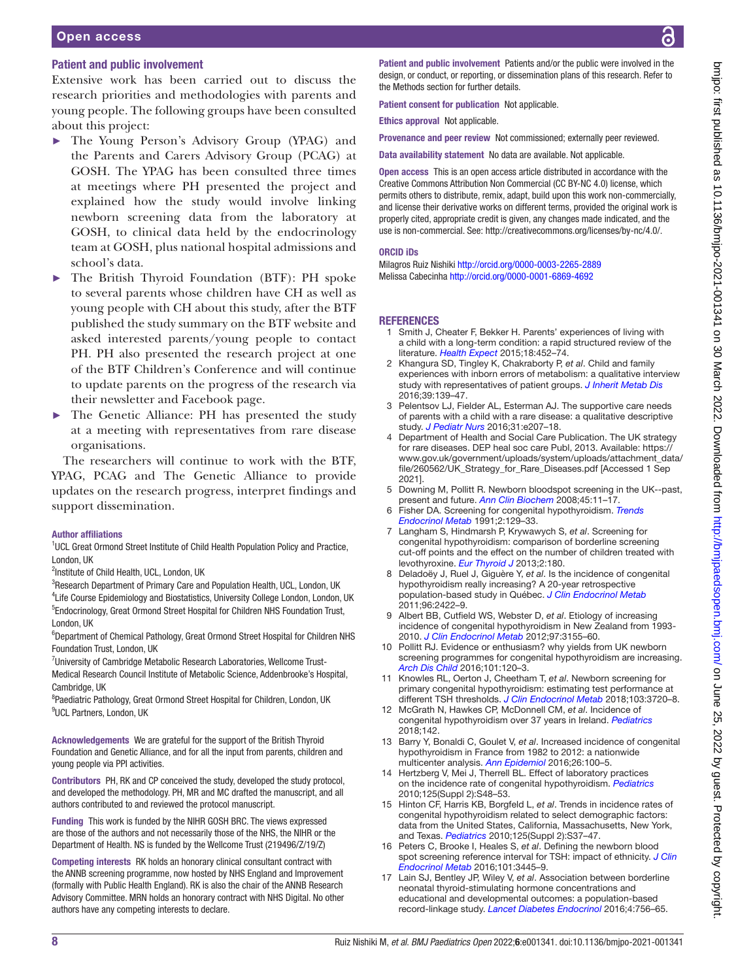#### Open access

#### Patient and public involvement

Extensive work has been carried out to discuss the research priorities and methodologies with parents and young people. The following groups have been consulted about this project:

- The Young Person's Advisory Group (YPAG) and the Parents and Carers Advisory Group (PCAG) at GOSH. The YPAG has been consulted three times at meetings where PH presented the project and explained how the study would involve linking newborn screening data from the laboratory at GOSH, to clinical data held by the endocrinology team at GOSH, plus national hospital admissions and school's data.
- The British Thyroid Foundation (BTF): PH spoke to several parents whose children have CH as well as young people with CH about this study, after the BTF published the study summary on the BTF website and asked interested parents/young people to contact PH. PH also presented the research project at one of the BTF Children's Conference and will continue to update parents on the progress of the research via their newsletter and Facebook page.
- The Genetic Alliance: PH has presented the study at a meeting with representatives from rare disease organisations.

The researchers will continue to work with the BTF, YPAG, PCAG and The Genetic Alliance to provide updates on the research progress, interpret findings and support dissemination.

#### Author affiliations

<sup>1</sup>UCL Great Ormond Street Institute of Child Health Population Policy and Practice, London, UK

<sup>2</sup>Institute of Child Health, UCL, London, UK

<sup>3</sup>Research Department of Primary Care and Population Health, UCL, London, UK <sup>4</sup> Life Course Epidemiology and Biostatistics, University College London, London, UK <sup>5</sup>Endocrinology, Great Ormond Street Hospital for Children NHS Foundation Trust, London, UK

<sup>6</sup>Department of Chemical Pathology, Great Ormond Street Hospital for Children NHS Foundation Trust, London, UK

<sup>7</sup>University of Cambridge Metabolic Research Laboratories, Wellcome Trust-Medical Research Council Institute of Metabolic Science, Addenbrooke's Hospital, Cambridge, UK

<sup>8</sup>Paediatric Pathology, Great Ormond Street Hospital for Children, London, UK <sup>9</sup>UCL Partners, London, UK

Acknowledgements We are grateful for the support of the British Thyroid Foundation and Genetic Alliance, and for all the input from parents, children and young people via PPI activities.

Contributors PH, RK and CP conceived the study, developed the study protocol, and developed the methodology. PH, MR and MC drafted the manuscript, and all authors contributed to and reviewed the protocol manuscript.

Funding This work is funded by the NIHR GOSH BRC. The views expressed are those of the authors and not necessarily those of the NHS, the NIHR or the Department of Health. NS is funded by the Wellcome Trust (219496/Z/19/Z)

Competing interests RK holds an honorary clinical consultant contract with the ANNB screening programme, now hosted by NHS England and Improvement (formally with Public Health England). RK is also the chair of the ANNB Research Advisory Committee. MRN holds an honorary contract with NHS Digital. No other authors have any competing interests to declare.

Patient and public involvement Patients and/or the public were involved in the design, or conduct, or reporting, or dissemination plans of this research. Refer to the Methods section for further details.

Patient consent for publication Not applicable.

Ethics approval Not applicable.

Provenance and peer review Not commissioned; externally peer reviewed.

Data availability statement No data are available. Not applicable.

Open access This is an open access article distributed in accordance with the Creative Commons Attribution Non Commercial (CC BY-NC 4.0) license, which permits others to distribute, remix, adapt, build upon this work non-commercially, and license their derivative works on different terms, provided the original work is properly cited, appropriate credit is given, any changes made indicated, and the use is non-commercial. See:<http://creativecommons.org/licenses/by-nc/4.0/>.

#### ORCID iDs

Milagros Ruiz Nishiki <http://orcid.org/0000-0003-2265-2889> Melissa Cabecinha<http://orcid.org/0000-0001-6869-4692>

#### **REFERENCES**

- <span id="page-7-0"></span>1 Smith J, Cheater F, Bekker H. Parents' experiences of living with a child with a long-term condition: a rapid structured review of the literature. *[Health Expect](http://dx.doi.org/10.1111/hex.12040)* 2015;18:452–74.
- 2 Khangura SD, Tingley K, Chakraborty P, *et al*. Child and family experiences with inborn errors of metabolism: a qualitative interview study with representatives of patient groups. *[J Inherit Metab Dis](http://dx.doi.org/10.1007/s10545-015-9881-1)* 2016;39:139–47.
- <span id="page-7-1"></span>3 Pelentsov LJ, Fielder AL, Esterman AJ. The supportive care needs of parents with a child with a rare disease: a qualitative descriptive study. *[J Pediatr Nurs](http://dx.doi.org/10.1016/j.pedn.2015.10.022)* 2016;31:e207–18.
- <span id="page-7-2"></span>4 Department of Health and Social Care Publication. The UK strategy for rare diseases. DEP heal soc care Publ, 2013. Available: [https://](https://www.gov.uk/government/uploads/system/uploads/attachment_data/file/260562/UK_Strategy_for_Rare_Diseases.pdf) [www.gov.uk/government/uploads/system/uploads/attachment\\_data/](https://www.gov.uk/government/uploads/system/uploads/attachment_data/file/260562/UK_Strategy_for_Rare_Diseases.pdf) [file/260562/UK\\_Strategy\\_for\\_Rare\\_Diseases.pdf](https://www.gov.uk/government/uploads/system/uploads/attachment_data/file/260562/UK_Strategy_for_Rare_Diseases.pdf) [Accessed 1 Sep 2021].
- <span id="page-7-3"></span>5 Downing M, Pollitt R. Newborn bloodspot screening in the UK--past, present and future. *[Ann Clin Biochem](http://dx.doi.org/10.1258/acb.2007.007127)* 2008;45:11–17.
- <span id="page-7-4"></span>6 Fisher DA. Screening for congenital hypothyroidism. *[Trends](http://dx.doi.org/10.1016/1043-2760(91)90002-5)  [Endocrinol Metab](http://dx.doi.org/10.1016/1043-2760(91)90002-5)* 1991;2:129–33.
- <span id="page-7-5"></span>7 Langham S, Hindmarsh P, Krywawych S, *et al*. Screening for congenital hypothyroidism: comparison of borderline screening cut-off points and the effect on the number of children treated with levothyroxine. *[Eur Thyroid J](http://dx.doi.org/10.1159/000350039)* 2013;2:180.
- 8 Deladoëy J, Ruel J, Giguère Y, *et al*. Is the incidence of congenital hypothyroidism really increasing? A 20-year retrospective population-based study in Québec. *[J Clin Endocrinol Metab](http://dx.doi.org/10.1210/jc.2011-1073)* 2011;96:2422–9.
- <span id="page-7-7"></span>9 Albert BB, Cutfield WS, Webster D, *et al*. Etiology of increasing incidence of congenital hypothyroidism in New Zealand from 1993- 2010. *[J Clin Endocrinol Metab](http://dx.doi.org/10.1210/jc.2012-1562)* 2012;97:3155–60.
- <span id="page-7-6"></span>10 Pollitt RJ. Evidence or enthusiasm? why yields from UK newborn screening programmes for congenital hypothyroidism are increasing. *[Arch Dis Child](http://dx.doi.org/10.1136/archdischild-2015-309546)* 2016;101:120–3.
- 11 Knowles RL, Oerton J, Cheetham T, *et al*. Newborn screening for primary congenital hypothyroidism: estimating test performance at different TSH thresholds. *[J Clin Endocrinol Metab](http://dx.doi.org/10.1210/jc.2018-00658)* 2018;103:3720–8.
- 12 McGrath N, Hawkes CP, McDonnell CM, *et al*. Incidence of congenital hypothyroidism over 37 years in Ireland. *[Pediatrics](http://dx.doi.org/10.1542/peds.2018-1199)* 2018;142.
- <span id="page-7-8"></span>13 Barry Y, Bonaldi C, Goulet V, *et al*. Increased incidence of congenital hypothyroidism in France from 1982 to 2012: a nationwide multicenter analysis. *[Ann Epidemiol](http://dx.doi.org/10.1016/j.annepidem.2015.11.005)* 2016;26:100–5.
- 14 Hertzberg V, Mei J, Therrell BL. Effect of laboratory practices on the incidence rate of congenital hypothyroidism. *[Pediatrics](http://dx.doi.org/10.1542/peds.2009-1975E)* 2010;125(Suppl 2):S48–53.
- <span id="page-7-9"></span>15 Hinton CF, Harris KB, Borgfeld L, *et al*. Trends in incidence rates of congenital hypothyroidism related to select demographic factors: data from the United States, California, Massachusetts, New York, and Texas. *[Pediatrics](http://dx.doi.org/10.1542/peds.2009-1975D)* 2010;125(Suppl 2):S37–47.
- <span id="page-7-10"></span>16 Peters C, Brooke I, Heales S, *et al*. Defining the newborn blood spot screening reference interval for TSH: impact of ethnicity. *[J Clin](http://dx.doi.org/10.1210/jc.2016-1822)  [Endocrinol Metab](http://dx.doi.org/10.1210/jc.2016-1822)* 2016;101:3445–9.
- <span id="page-7-11"></span>17 Lain SJ, Bentley JP, Wiley V, *et al*. Association between borderline neonatal thyroid-stimulating hormone concentrations and educational and developmental outcomes: a population-based record-linkage study. *[Lancet Diabetes Endocrinol](http://dx.doi.org/10.1016/S2213-8587(16)30122-X)* 2016;4:756–65.